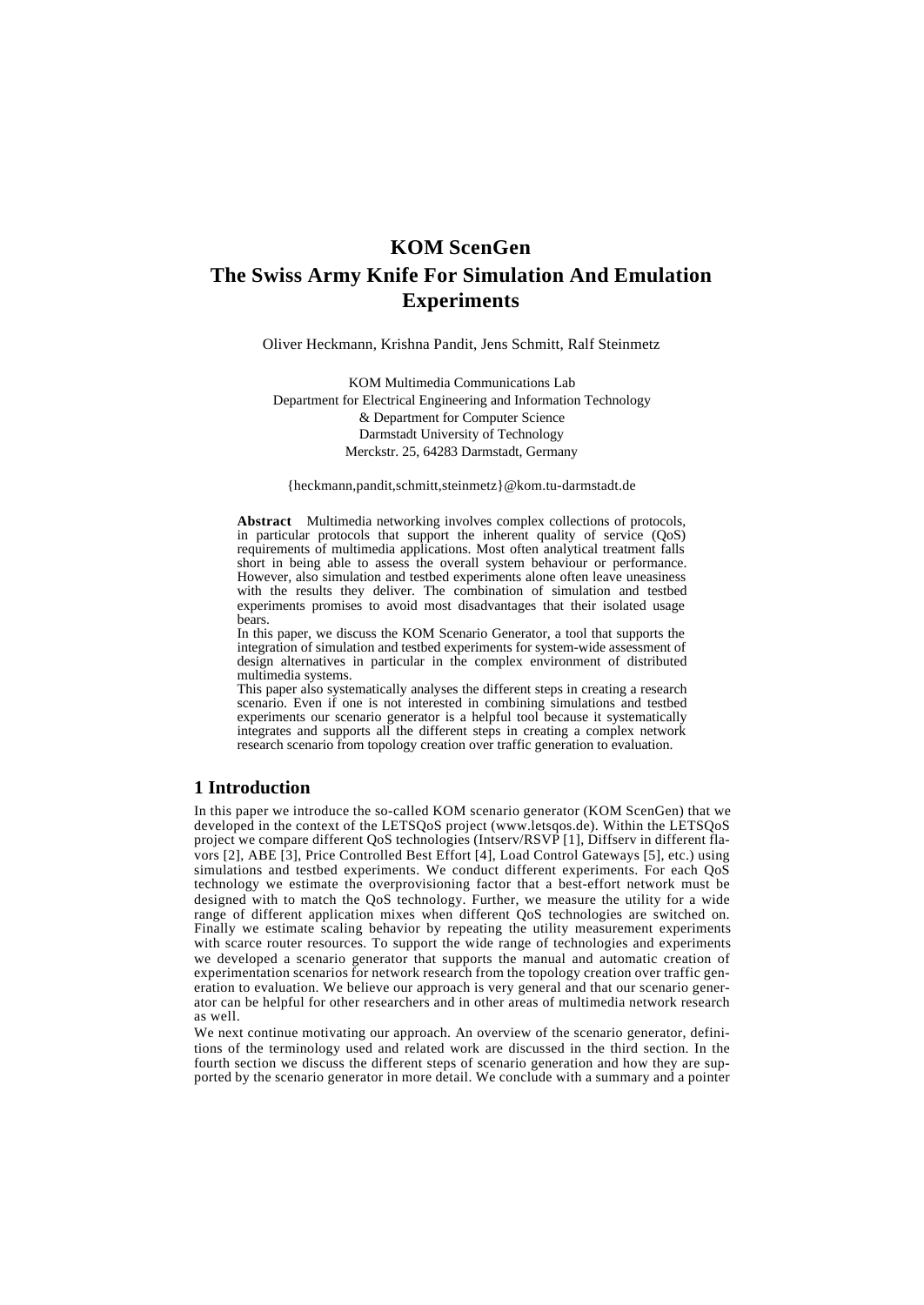# **KOM ScenGen The Swiss Army Knife For Simulation And Emulation Experiments**

Oliver Heckmann, Krishna Pandit, Jens Schmitt, Ralf Steinmetz

KOM Multimedia Communications Lab Department for Electrical Engineering and Information Technology & Department for Computer Science Darmstadt University of Technology Merckstr. 25, 64283 Darmstadt, Germany

{heckmann,pandit,schmitt,steinmetz}@kom.tu-darmstadt.de

**Abstract** Multimedia networking involves complex collections of protocols, in particular protocols that support the inherent quality of service  $(OoS)$ requirements of multimedia applications. Most often analytical treatment falls short in being able to assess the overall system behaviour or performance. However, also simulation and testbed experiments alone often leave uneasiness with the results they deliver. The combination of simulation and testbed experiments promises to avoid most disadvantages that their isolated usage bears.

In this paper, we discuss the KOM Scenario Generator, a tool that supports the integration of simulation and testbed experiments for system-wide assessment of design alternatives in particular in the complex environment of distributed multimedia systems.

This paper also systematically analyses the different steps in creating a research scenario. Even if one is not interested in combining simulations and testbed experiments our scenario generator is a helpful tool because it systematically integrates and supports all the different steps in creating a complex network research scenario from topology creation over traffic generation to evaluation.

# **1 Introduction**

In this paper we introduce the so-called KOM scenario generator (KOM ScenGen) that we developed in the context of the LETSQoS project (www.letsqos.de). Within the LETSQoS project we compare different QoS technologies (Intserv/RSVP [1], Diffserv in different flavors [2], ABE [3], Price Controlled Best Effort [4], Load Control Gateways [5], etc.) using simulations and testbed experiments. We conduct different experiments. For each QoS technology we estimate the overprovisioning factor that a best-effort network must be designed with to match the QoS technology. Further, we measure the utility for a wide range of different application mixes when different QoS technologies are switched on. Finally we estimate scaling behavior by repeating the utility measurement experiments with scarce router resources. To support the wide range of technologies and experiments we developed a scenario generator that supports the manual and automatic creation of experimentation scenarios for network research from the topology creation over traffic generation to evaluation. We believe our approach is very general and that our scenario generator can be helpful for other researchers and in other areas of multimedia network research as well.

We next continue motivating our approach. An overview of the scenario generator, definitions of the terminology used and related work are discussed in the third section. In the fourth section we discuss the different steps of scenario generation and how they are supported by the scenario generator in more detail. We conclude with a summary and a pointer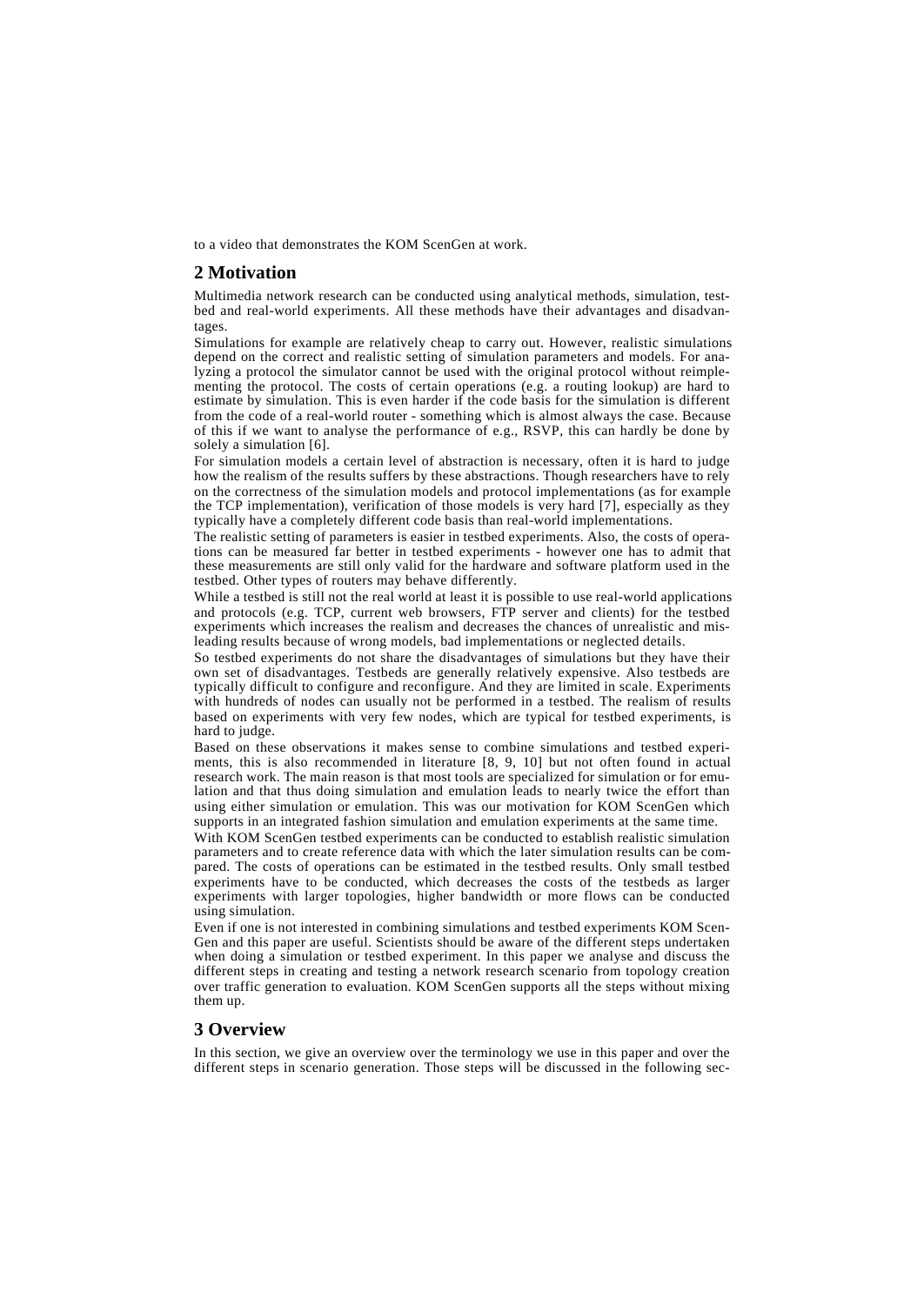to a video that demonstrates the KOM ScenGen at work.

## **2 Motivation**

Multimedia network research can be conducted using analytical methods, simulation, testbed and real-world experiments. All these methods have their advantages and disadvantages.

Simulations for example are relatively cheap to carry out. However, realistic simulations depend on the correct and realistic setting of simulation parameters and models. For analyzing a protocol the simulator cannot be used with the original protocol without reimplementing the protocol. The costs of certain operations (e.g. a routing lookup) are hard to estimate by simulation. This is even harder if the code basis for the simulation is different from the code of a real-world router - something which is almost always the case. Because of this if we want to analyse the performance of e.g., RSVP, this can hardly be done by solely a simulation [6].

For simulation models a certain level of abstraction is necessary, often it is hard to judge how the realism of the results suffers by these abstractions. Though researchers have to rely on the correctness of the simulation models and protocol implementations (as for example the TCP implementation), verification of those models is very hard [7], especially as they typically have a completely different code basis than real-world implementations.

The realistic setting of parameters is easier in testbed experiments. Also, the costs of operations can be measured far better in testbed experiments - however one has to admit that these measurements are still only valid for the hardware and software platform used in the testbed. Other types of routers may behave differently.

While a testbed is still not the real world at least it is possible to use real-world applications and protocols (e.g. TCP, current web browsers, FTP server and clients) for the testbed experiments which increases the realism and decreases the chances of unrealistic and misleading results because of wrong models, bad implementations or neglected details.

So testbed experiments do not share the disadvantages of simulations but they have their own set of disadvantages. Testbeds are generally relatively expensive. Also testbeds are typically difficult to configure and reconfigure. And they are limited in scale. Experiments with hundreds of nodes can usually not be performed in a testbed. The realism of results based on experiments with very few nodes, which are typical for testbed experiments, is hard to judge.

Based on these observations it makes sense to combine simulations and testbed experiments, this is also recommended in literature [8, 9, 10] but not often found in actual research work. The main reason is that most tools are specialized for simulation or for emulation and that thus doing simulation and emulation leads to nearly twice the effort than using either simulation or emulation. This was our motivation for KOM ScenGen which supports in an integrated fashion simulation and emulation experiments at the same time.

With KOM ScenGen testbed experiments can be conducted to establish realistic simulation parameters and to create reference data with which the later simulation results can be compared. The costs of operations can be estimated in the testbed results. Only small testbed experiments have to be conducted, which decreases the costs of the testbeds as larger experiments with larger topologies, higher bandwidth or more flows can be conducted using simulation.

Even if one is not interested in combining simulations and testbed experiments KOM Scen-Gen and this paper are useful. Scientists should be aware of the different steps undertaken when doing a simulation or testbed experiment. In this paper we analyse and discuss the different steps in creating and testing a network research scenario from topology creation over traffic generation to evaluation. KOM ScenGen supports all the steps without mixing them up.

# **3 Overview**

In this section, we give an overview over the terminology we use in this paper and over the different steps in scenario generation. Those steps will be discussed in the following sec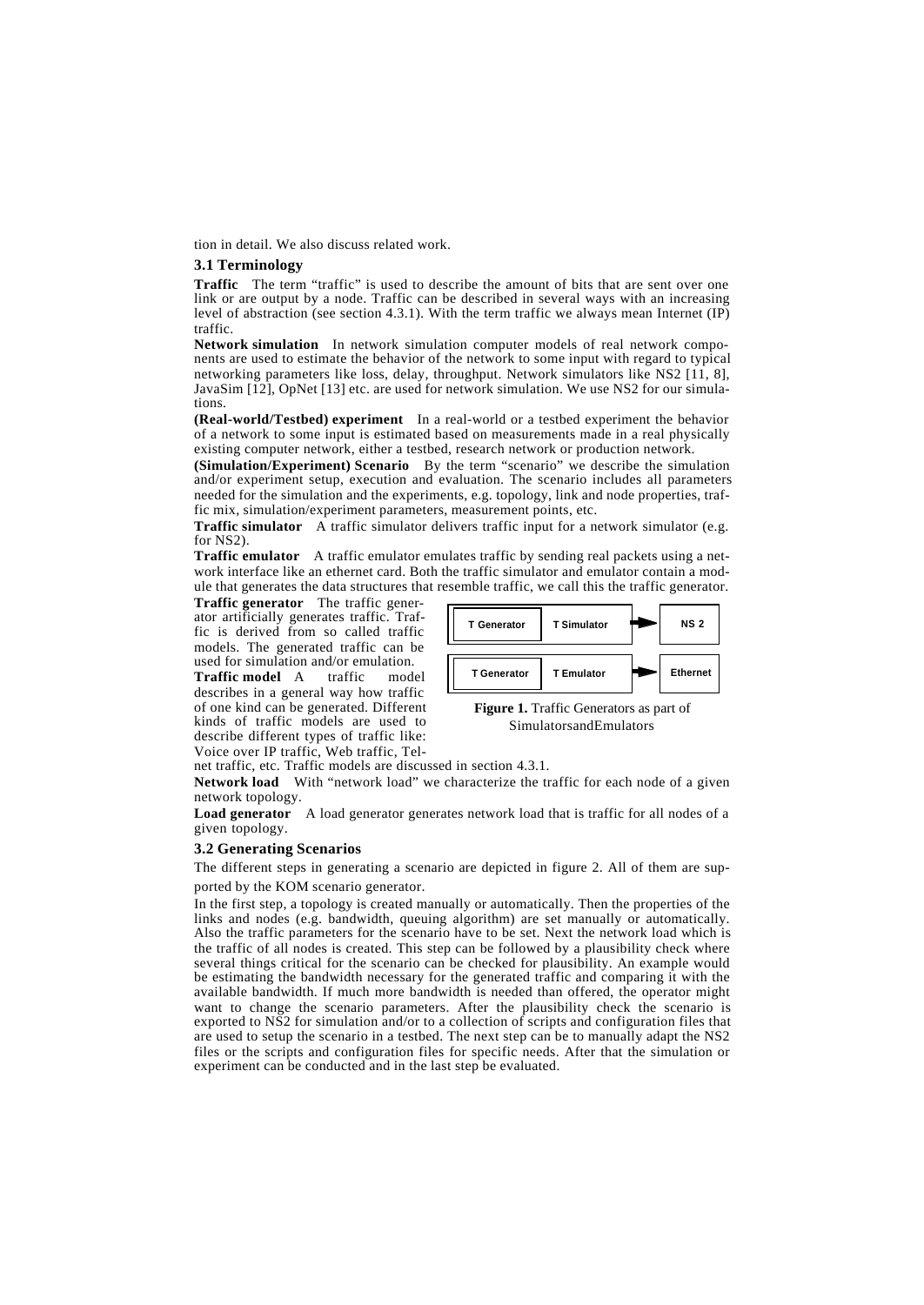tion in detail. We also discuss related work.

## **3.1 Terminology**

**Traffic** The term "traffic" is used to describe the amount of bits that are sent over one link or are output by a node. Traffic can be described in several ways with an increasing level of abstraction (see section 4.3.1). With the term traffic we always mean Internet (IP) traffic.

**Network simulation** In network simulation computer models of real network components are used to estimate the behavior of the network to some input with regard to typical networking parameters like loss, delay, throughput. Network simulators like NS2 [11, 8], JavaSim [12], OpNet [13] etc. are used for network simulation. We use NS2 for our simulations.

**(Real-world/Testbed) experiment** In a real-world or a testbed experiment the behavior of a network to some input is estimated based on measurements made in a real physically existing computer network, either a testbed, research network or production network.

**(Simulation/Experiment) Scenario** By the term "scenario" we describe the simulation and/or experiment setup, execution and evaluation. The scenario includes all parameters needed for the simulation and the experiments, e.g. topology, link and node properties, traffic mix, simulation/experiment parameters, measurement points, etc.

**Traffic simulator** A traffic simulator delivers traffic input for a network simulator (e.g. for NS<sub>2</sub>).

**Traffic emulator** A traffic emulator emulates traffic by sending real packets using a network interface like an ethernet card. Both the traffic simulator and emulator contain a module that generates the data structures that resemble traffic, we call this the traffic generator.

**Traffic generator** The traffic generator artificially generates traffic. Traffic is derived from so called traffic models. The generated traffic can be used for simulation and/or emulation.

**Traffic model** A traffic model describes in a general way how traffic of one kind can be generated. Different kinds of traffic models are used to describe different types of traffic like: Voice over IP traffic, Web traffic, Tel-



**Figure 1.** Traffic Generators as part of SimulatorsandEmulators

net traffic, etc. Traffic models are discussed in section 4.3.1.

**Network load** With "network load" we characterize the traffic for each node of a given network topology.

**Load generator** A load generator generates network load that is traffic for all nodes of a given topology.

### **3.2 Generating Scenarios**

The different steps in generating a scenario are depicted in figure 2. All of them are supported by the KOM scenario generator.

In the first step, a topology is created manually or automatically. Then the properties of the links and nodes (e.g. bandwidth, queuing algorithm) are set manually or automatically. Also the traffic parameters for the scenario have to be set. Next the network load which is the traffic of all nodes is created. This step can be followed by a plausibility check where several things critical for the scenario can be checked for plausibility. An example would be estimating the bandwidth necessary for the generated traffic and comparing it with the available bandwidth. If much more bandwidth is needed than offered, the operator might want to change the scenario parameters. After the plausibility check the scenario is exported to NS2 for simulation and/or to a collection of scripts and configuration files that are used to setup the scenario in a testbed. The next step can be to manually adapt the NS2 files or the scripts and configuration files for specific needs. After that the simulation or experiment can be conducted and in the last step be evaluated.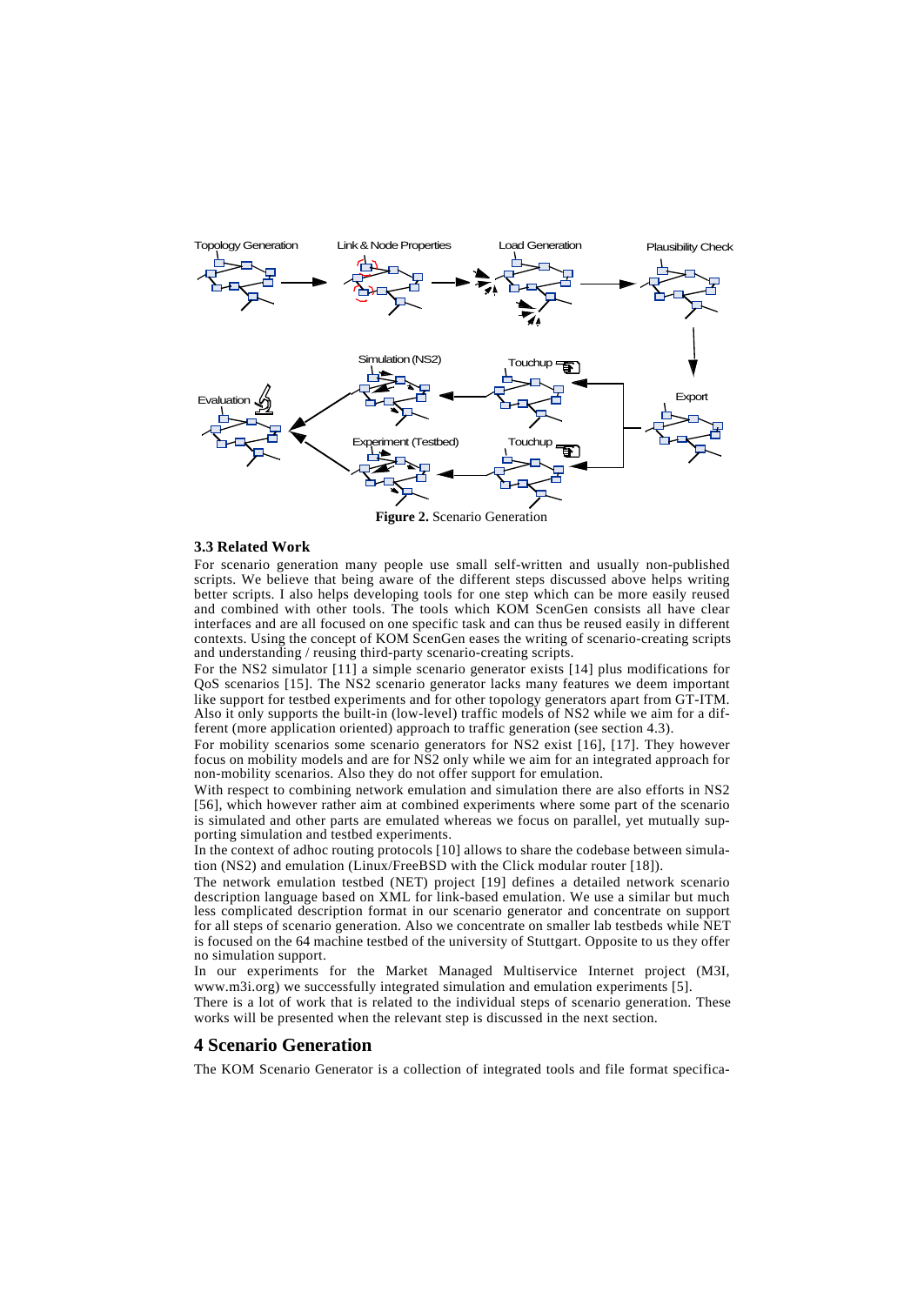

**Figure 2.** Scenario Generation

## **3.3 Related Work**

For scenario generation many people use small self-written and usually non-published scripts. We believe that being aware of the different steps discussed above helps writing better scripts. I also helps developing tools for one step which can be more easily reused and combined with other tools. The tools which KOM ScenGen consists all have clear interfaces and are all focused on one specific task and can thus be reused easily in different contexts. Using the concept of KOM ScenGen eases the writing of scenario-creating scripts and understanding / reusing third-party scenario-creating scripts.

For the NS2 simulator [11] a simple scenario generator exists [14] plus modifications for QoS scenarios [15]. The NS2 scenario generator lacks many features we deem important like support for testbed experiments and for other topology generators apart from GT-ITM. Also it only supports the built-in (low-level) traffic models of NS2 while we aim for a different (more application oriented) approach to traffic generation (see section 4.3).

For mobility scenarios some scenario generators for NS2 exist [16], [17]. They however focus on mobility models and are for NS2 only while we aim for an integrated approach for non-mobility scenarios. Also they do not offer support for emulation.

With respect to combining network emulation and simulation there are also efforts in NS2 [56], which however rather aim at combined experiments where some part of the scenario is simulated and other parts are emulated whereas we focus on parallel, yet mutually supporting simulation and testbed experiments.

In the context of adhoc routing protocols [10] allows to share the codebase between simulation (NS2) and emulation (Linux/FreeBSD with the Click modular router [18]).

The network emulation testbed (NET) project [19] defines a detailed network scenario description language based on XML for link-based emulation. We use a similar but much less complicated description format in our scenario generator and concentrate on support for all steps of scenario generation. Also we concentrate on smaller lab testbeds while NET is focused on the 64 machine testbed of the university of Stuttgart. Opposite to us they offer no simulation support.

In our experiments for the Market Managed Multiservice Internet project (M3I, www.m3i.org) we successfully integrated simulation and emulation experiments [5].

There is a lot of work that is related to the individual steps of scenario generation. These works will be presented when the relevant step is discussed in the next section.

# **4 Scenario Generation**

The KOM Scenario Generator is a collection of integrated tools and file format specifica-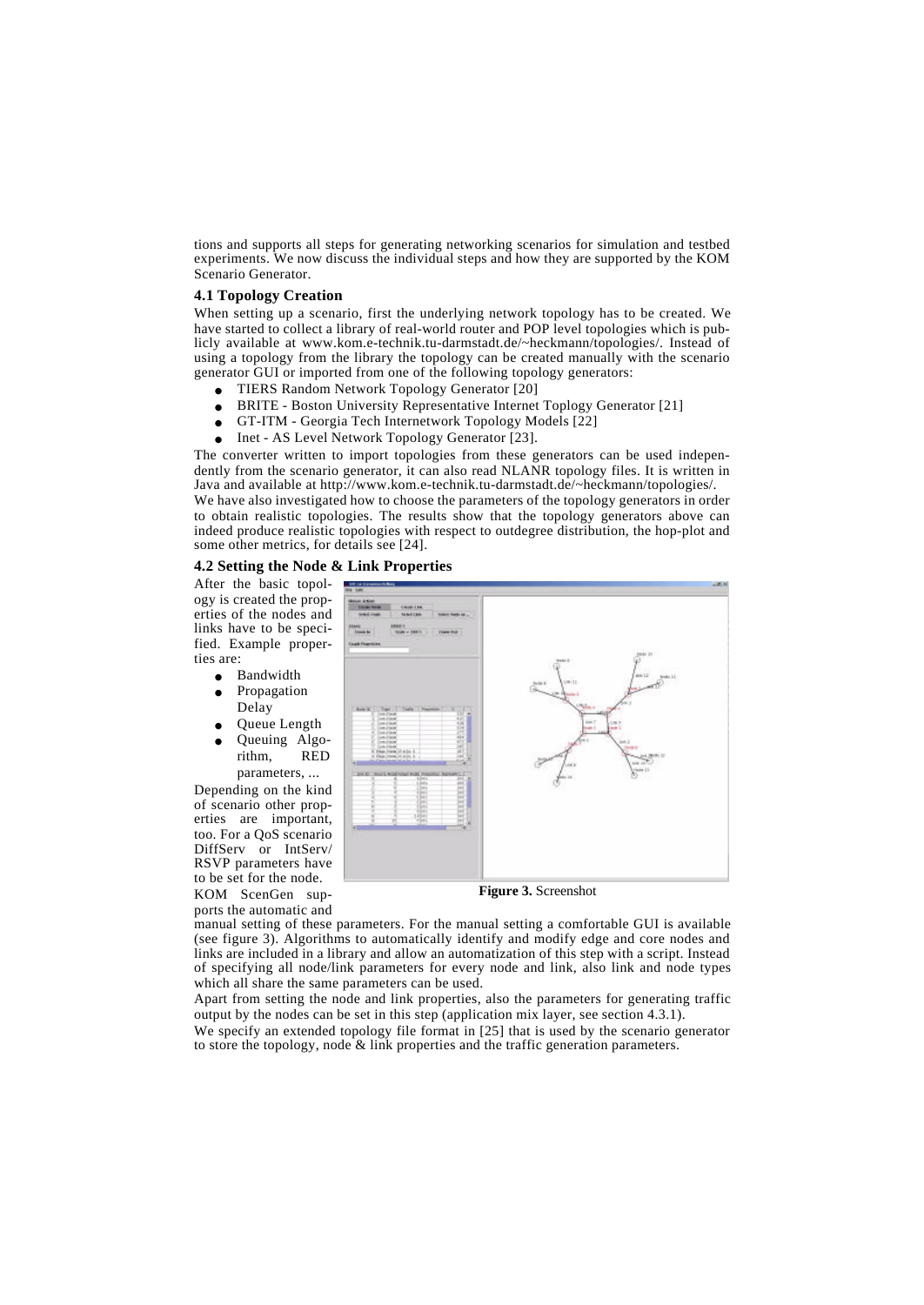tions and supports all steps for generating networking scenarios for simulation and testbed experiments. We now discuss the individual steps and how they are supported by the KOM Scenario Generator.

#### **4.1 Topology Creation**

When setting up a scenario, first the underlying network topology has to be created. We have started to collect a library of real-world router and POP level topologies which is publicly available at www.kom.e-technik.tu-darmstadt.de/~heckmann/topologies/. Instead of using a topology from the library the topology can be created manually with the scenario generator GUI or imported from one of the following topology generators:

- **ILERS Random Network Topology Generator [20]**
- **BRITE** Boston University Representative Internet Toplogy Generator [21]
- **.** GT-ITM Georgia Tech Internetwork Topology Models [22]
- <sup>l</sup> Inet AS Level Network Topology Generator [23].

The converter written to import topologies from these generators can be used independently from the scenario generator, it can also read NLANR topology files. It is written in Java and available at http://www.kom.e-technik.tu-darmstadt.de/~heckmann/topologies/. We have also investigated how to choose the parameters of the topology generators in order to obtain realistic topologies. The results show that the topology generators above can indeed produce realistic topologies with respect to outdegree distribution, the hop-plot and

# some other metrics, for details see [24]. **4.2 Setting the Node & Link Properties**

After the basic topology is created the properties of the nodes and links have to be specified. Example properties are:

- $\bullet$  Bandwidth
- **•** Propagation
- Delay
- Queue Length **Queuing Algo**rithm, RED parameters, ...

Depending on the kind of scenario other properties are important, too. For a QoS scenario DiffServ or IntServ/ RSVP parameters have to be set for the node.

KOM ScenGen supports the automatic and



**Figure 3.** Screenshot

manual setting of these parameters. For the manual setting a comfortable GUI is available (see figure 3). Algorithms to automatically identify and modify edge and core nodes and links are included in a library and allow an automatization of this step with a script. Instead of specifying all node/link parameters for every node and link, also link and node types which all share the same parameters can be used.

Apart from setting the node and link properties, also the parameters for generating traffic output by the nodes can be set in this step (application mix layer, see section 4.3.1).

We specify an extended topology file format in [25] that is used by the scenario generator to store the topology, node & link properties and the traffic generation parameters.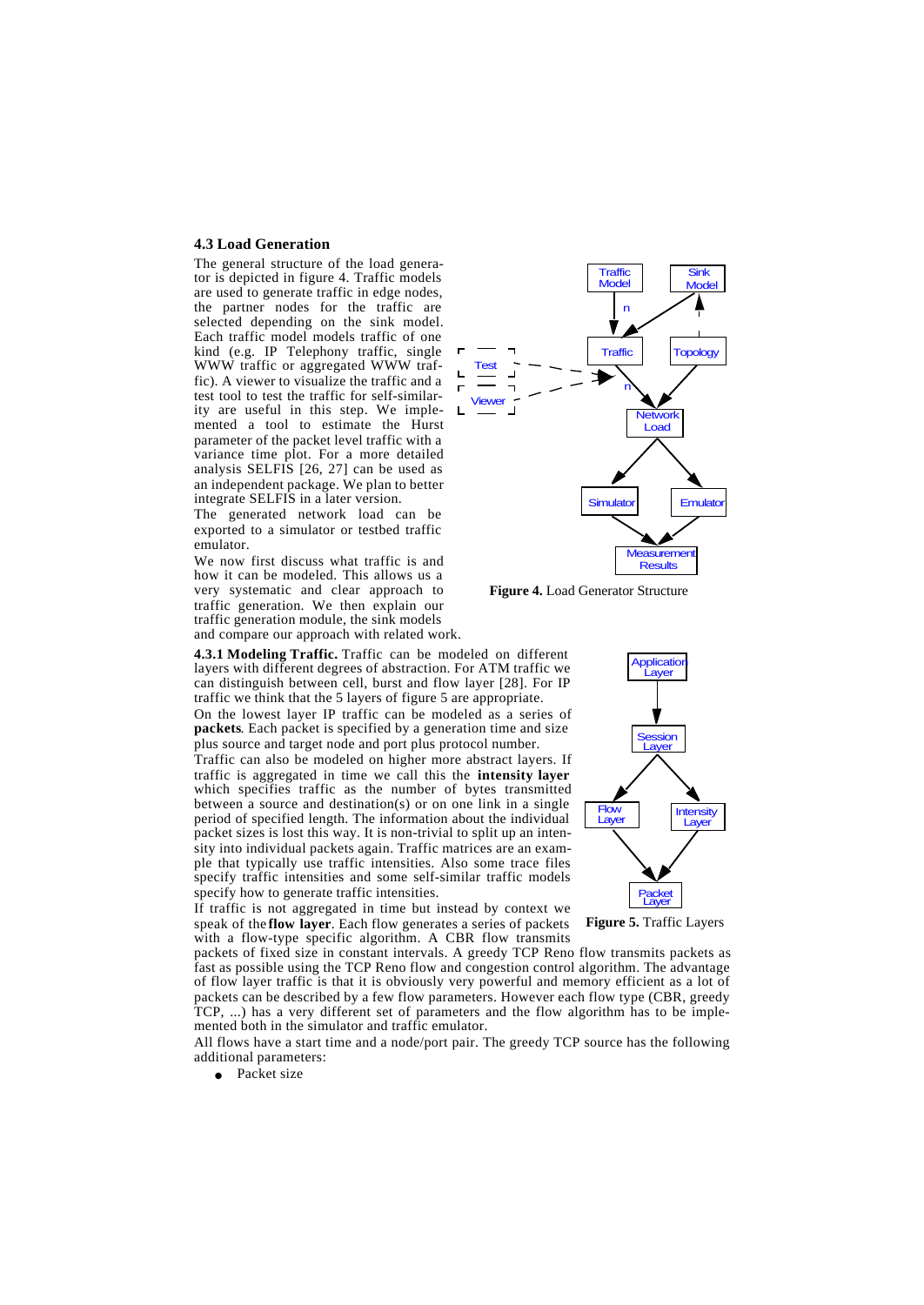## **4.3 Load Generation**

The general structure of the load generator is depicted in figure 4. Traffic models are used to generate traffic in edge nodes, the partner nodes for the traffic are selected depending on the sink model. Each traffic model models traffic of one kind (e.g. IP Telephony traffic, single WWW traffic or aggregated WWW traffic). A viewer to visualize the traffic and a test tool to test the traffic for self-similarity are useful in this step. We implemented a tool to estimate the Hurst parameter of the packet level traffic with a variance time plot. For a more detailed analysis SELFIS [26, 27] can be used as an independent package. We plan to better integrate SELFIS in a later version.

The generated network load can be exported to a simulator or testbed traffic emulator.

We now first discuss what traffic is and how it can be modeled. This allows us a very systematic and clear approach to traffic generation. We then explain our traffic generation module, the sink models and compare our approach with related work.



**packets**. Each packet is specified by a generation time and size plus source and target node and port plus protocol number.

Traffic can also be modeled on higher more abstract layers. If traffic is aggregated in time we call this the **intensity layer** which specifies traffic as the number of bytes transmitted between a source and destination(s) or on one link in a single period of specified length. The information about the individual packet sizes is lost this way. It is non-trivial to split up an intensity into individual packets again. Traffic matrices are an example that typically use traffic intensities. Also some trace files specify traffic intensities and some self-similar traffic models specify how to generate traffic intensities.

If traffic is not aggregated in time but instead by context we speak of the **flow layer**. Each flow generates a series of packets with a flow-type specific algorithm. A CBR flow transmits

packets of fixed size in constant intervals. A greedy TCP Reno flow transmits packets as fast as possible using the TCP Reno flow and congestion control algorithm. The advantage of flow layer traffic is that it is obviously very powerful and memory efficient as a lot of packets can be described by a few flow parameters. However each flow type (CBR, greedy TCP, ...) has a very different set of parameters and the flow algorithm has to be implemented both in the simulator and traffic emulator.

All flows have a start time and a node/port pair. The greedy TCP source has the following additional parameters:

Packet size



**Figure 4.** Load Generator Structure



**Figure 5.** Traffic Layers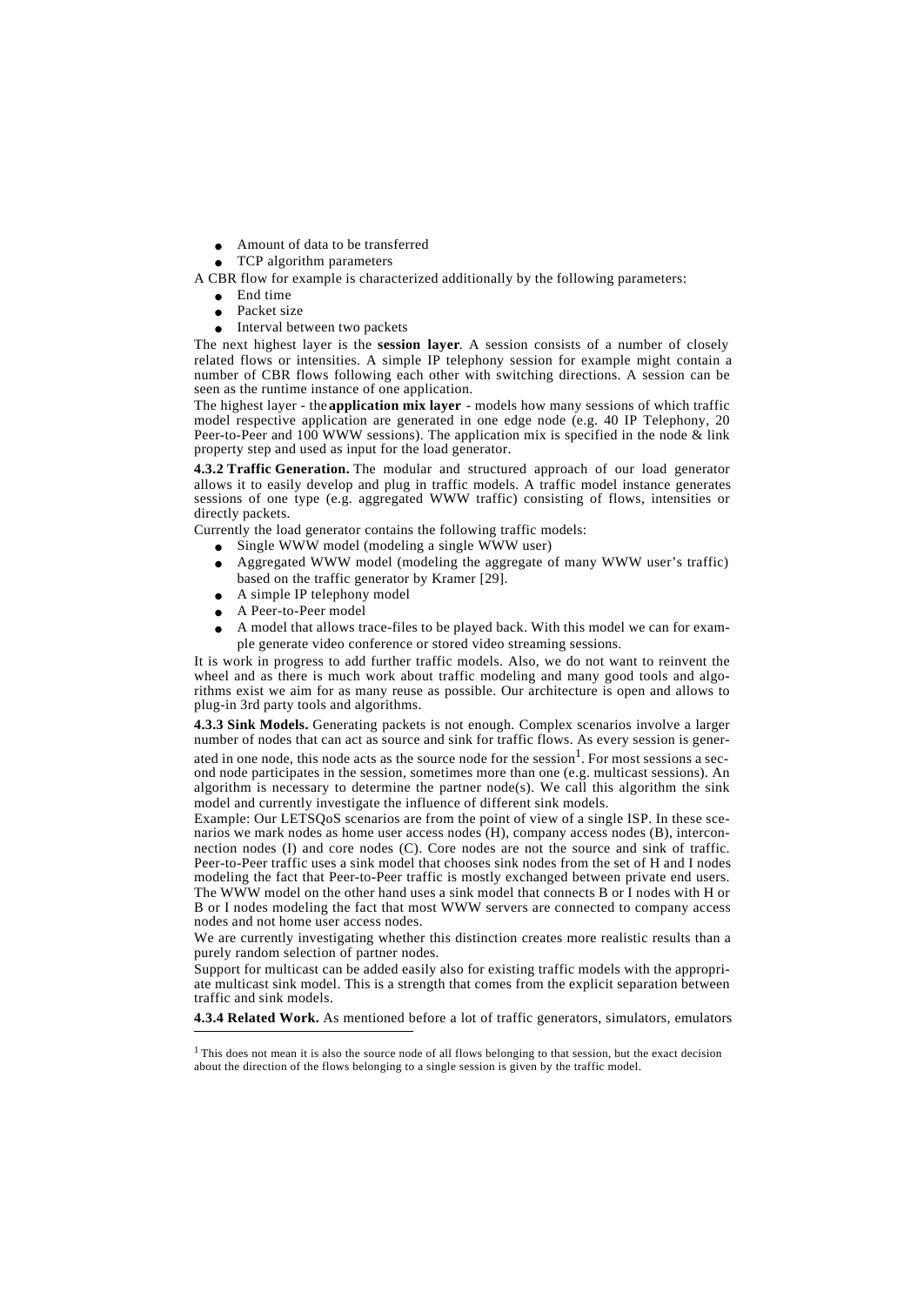- **•** Amount of data to be transferred
- $\bullet$  TCP algorithm parameters

A CBR flow for example is characterized additionally by the following parameters:

- $\bullet$  End time
- Packet size
- $\bullet$  Interval between two packets

The next highest layer is the **session layer**. A session consists of a number of closely related flows or intensities. A simple IP telephony session for example might contain a number of CBR flows following each other with switching directions. A session can be seen as the runtime instance of one application.

The highest layer - the **application mix layer** - models how many sessions of which traffic model respective application are generated in one edge node (e.g. 40 IP Telephony, 20 Peer-to-Peer and 100 WWW sessions). The application mix is specified in the node & link property step and used as input for the load generator.

**4.3.2 Traffic Generation.** The modular and structured approach of our load generator allows it to easily develop and plug in traffic models. A traffic model instance generates sessions of one type (e.g. aggregated WWW traffic) consisting of flows, intensities or directly packets.

Currently the load generator contains the following traffic models:

- Single WWW model (modeling a single WWW user)
- Aggregated WWW model (modeling the aggregate of many WWW user's traffic) based on the traffic generator by Kramer [29].
- $\bullet$  A simple IP telephony model
- A Peer-to-Peer model
- $\bullet$  A model that allows trace-files to be played back. With this model we can for example generate video conference or stored video streaming sessions.

It is work in progress to add further traffic models. Also, we do not want to reinvent the wheel and as there is much work about traffic modeling and many good tools and algorithms exist we aim for as many reuse as possible. Our architecture is open and allows to plug-in 3rd party tools and algorithms.

**4.3.3 Sink Models.** Generating packets is not enough. Complex scenarios involve a larger number of nodes that can act as source and sink for traffic flows. As every session is gener-

ated in one node, this node acts as the source node for the session<sup>1</sup>. For most sessions a second node participates in the session, sometimes more than one (e.g. multicast sessions). An algorithm is necessary to determine the partner node(s). We call this algorithm the sink model and currently investigate the influence of different sink models.

Example: Our LETSQoS scenarios are from the point of view of a single ISP. In these scenarios we mark nodes as home user access nodes (H), company access nodes (B), interconnection nodes (I) and core nodes (C). Core nodes are not the source and sink of traffic. Peer-to-Peer traffic uses a sink model that chooses sink nodes from the set of H and I nodes modeling the fact that Peer-to-Peer traffic is mostly exchanged between private end users. The WWW model on the other hand uses a sink model that connects B or I nodes with H or B or I nodes modeling the fact that most WWW servers are connected to company access nodes and not home user access nodes.

We are currently investigating whether this distinction creates more realistic results than a purely random selection of partner nodes.

Support for multicast can be added easily also for existing traffic models with the appropriate multicast sink model. This is a strength that comes from the explicit separation between traffic and sink models.

**4.3.4 Related Work.** As mentioned before a lot of traffic generators, simulators, emulators

 $<sup>1</sup>$  This does not mean it is also the source node of all flows belonging to that session, but the exact decision</sup> about the direction of the flows belonging to a single session is given by the traffic model.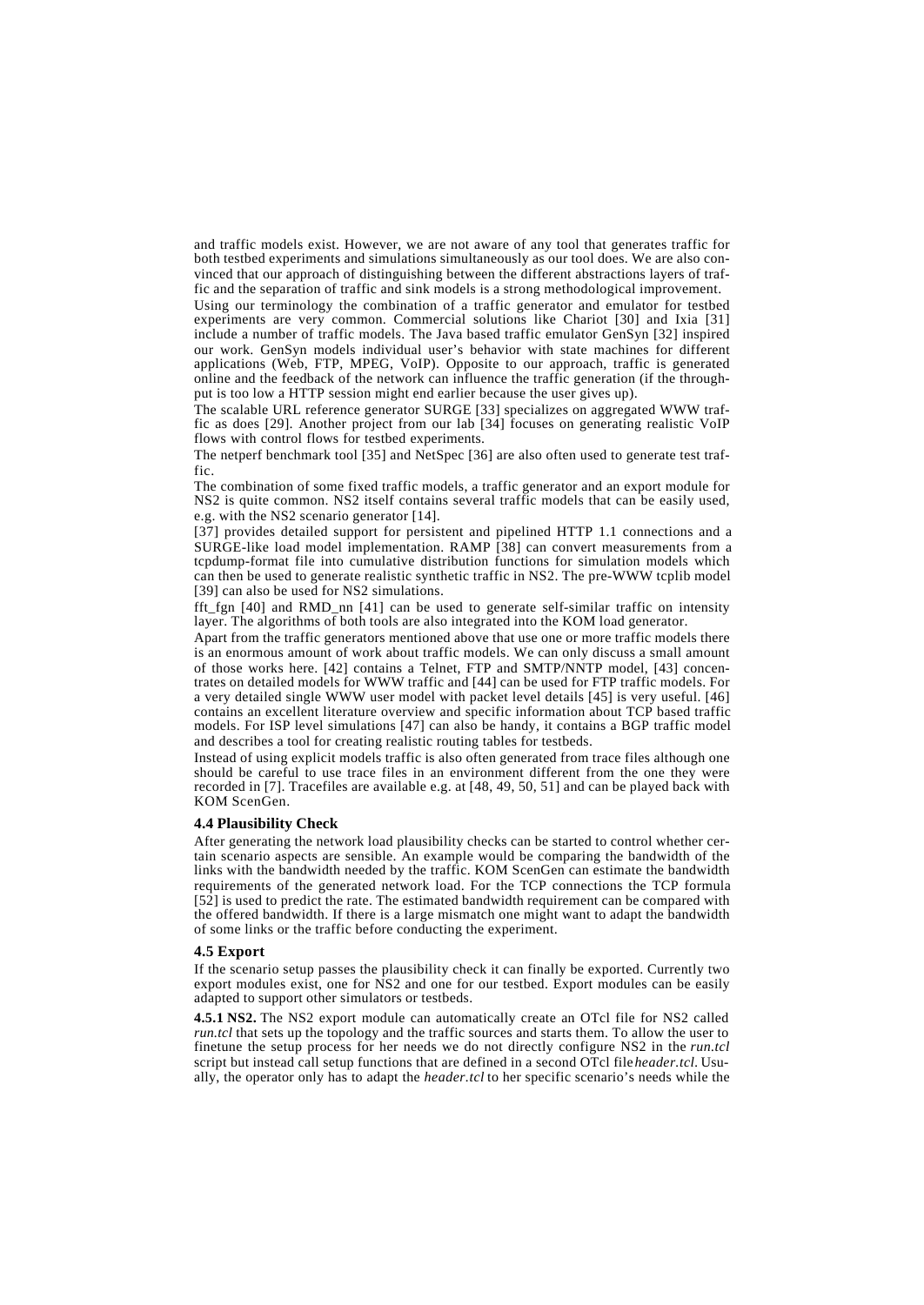and traffic models exist. However, we are not aware of any tool that generates traffic for both testbed experiments and simulations simultaneously as our tool does. We are also convinced that our approach of distinguishing between the different abstractions layers of traffic and the separation of traffic and sink models is a strong methodological improvement.

Using our terminology the combination of a traffic generator and emulator for testbed experiments are very common. Commercial solutions like Chariot [30] and Ixia [31] include a number of traffic models. The Java based traffic emulator GenSyn [32] inspired our work. GenSyn models individual user's behavior with state machines for different applications (Web, FTP, MPEG, VoIP). Opposite to our approach, traffic is generated online and the feedback of the network can influence the traffic generation (if the throughput is too low a HTTP session might end earlier because the user gives up).

The scalable URL reference generator SURGE [33] specializes on aggregated WWW traffic as does [29]. Another project from our lab [34] focuses on generating realistic VoIP flows with control flows for testbed experiments.

The netperf benchmark tool [35] and NetSpec [36] are also often used to generate test traffic.

The combination of some fixed traffic models, a traffic generator and an export module for NS2 is quite common. NS2 itself contains several traffic models that can be easily used, e.g. with the NS2 scenario generator [14].

[37] provides detailed support for persistent and pipelined HTTP 1.1 connections and a SURGE-like load model implementation. RAMP [38] can convert measurements from a tcpdump-format file into cumulative distribution functions for simulation models which can then be used to generate realistic synthetic traffic in NS2. The pre-WWW tcplib model [39] can also be used for NS2 simulations.

fft\_fgn [40] and RMD\_nn [41] can be used to generate self-similar traffic on intensity layer. The algorithms of both tools are also integrated into the KOM load generator.

Apart from the traffic generators mentioned above that use one or more traffic models there is an enormous amount of work about traffic models. We can only discuss a small amount of those works here. [42] contains a Telnet, FTP and SMTP/NNTP model, [43] concentrates on detailed models for WWW traffic and [44] can be used for FTP traffic models. For a very detailed single WWW user model with packet level details [45] is very useful. [46] contains an excellent literature overview and specific information about TCP based traffic models. For ISP level simulations [47] can also be handy, it contains a BGP traffic model and describes a tool for creating realistic routing tables for testbeds.

Instead of using explicit models traffic is also often generated from trace files although one should be careful to use trace files in an environment different from the one they were recorded in [7]. Tracefiles are available e.g. at [48, 49, 50, 51] and can be played back with KOM ScenGen.

## **4.4 Plausibility Check**

After generating the network load plausibility checks can be started to control whether certain scenario aspects are sensible. An example would be comparing the bandwidth of the links with the bandwidth needed by the traffic. KOM ScenGen can estimate the bandwidth requirements of the generated network load. For the TCP connections the TCP formula [52] is used to predict the rate. The estimated bandwidth requirement can be compared with the offered bandwidth. If there is a large mismatch one might want to adapt the bandwidth of some links or the traffic before conducting the experiment.

#### **4.5 Export**

If the scenario setup passes the plausibility check it can finally be exported. Currently two export modules exist, one for NS2 and one for our testbed. Export modules can be easily adapted to support other simulators or testbeds.

**4.5.1 NS2.** The NS2 export module can automatically create an OTcl file for NS2 called *run.tcl* that sets up the topology and the traffic sources and starts them. To allow the user to finetune the setup process for her needs we do not directly configure NS2 in the *run.tcl* script but instead call setup functions that are defined in a second OTcl file *header.tcl.* Usually, the operator only has to adapt the *header.tcl* to her specific scenario's needs while the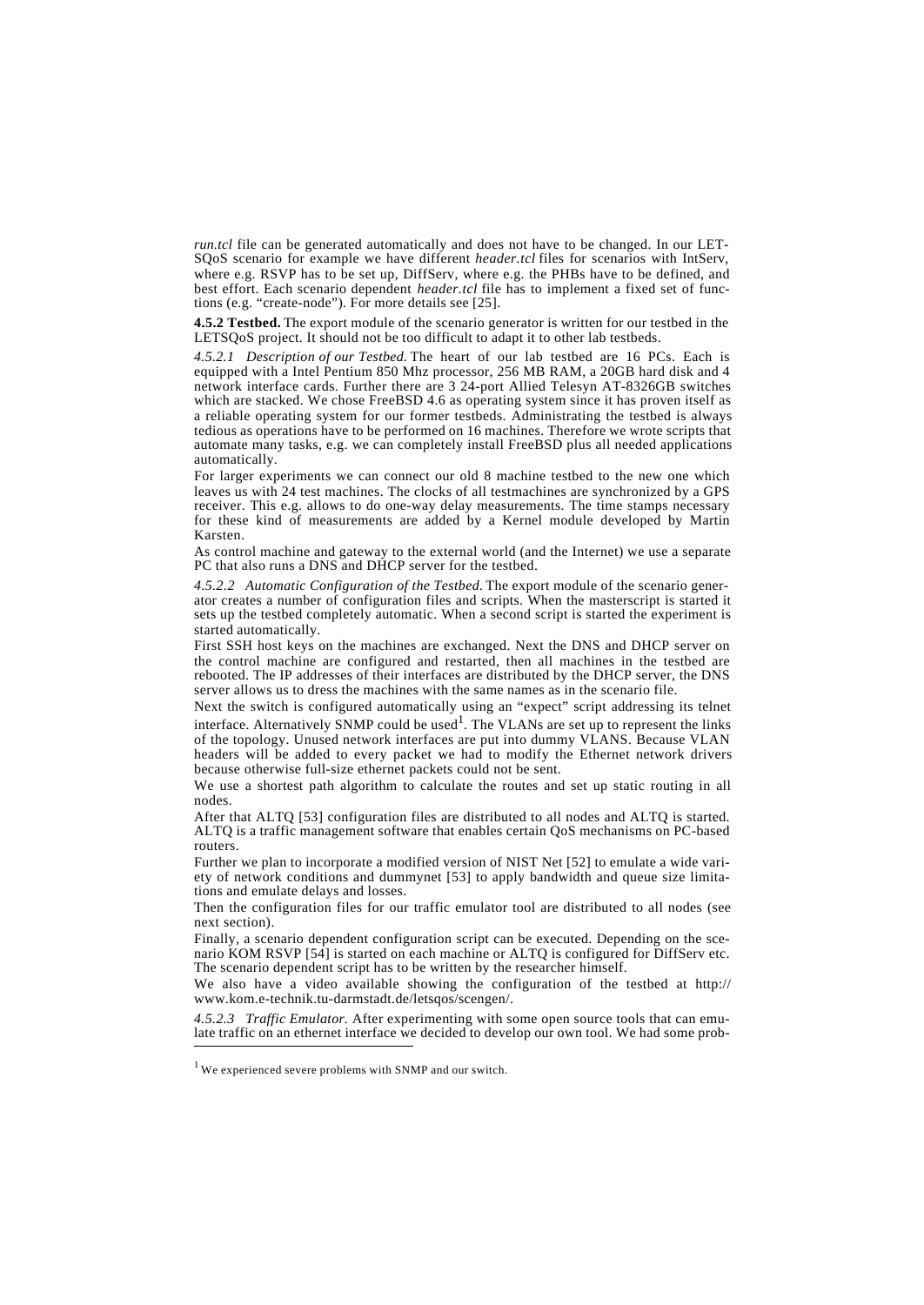*run.tcl* file can be generated automatically and does not have to be changed. In our LET-SQoS scenario for example we have different *header.tcl* files for scenarios with IntServ, where e.g. RSVP has to be set up, DiffServ, where e.g. the PHBs have to be defined, and best effort. Each scenario dependent *header.tcl* file has to implement a fixed set of functions (e.g. "create-node"). For more details see [25].

**4.5.2 Testbed.** The export module of the scenario generator is written for our testbed in the LETSQoS project. It should not be too difficult to adapt it to other lab testbeds.

*4.5.2.1 Description of our Testbed.* The heart of our lab testbed are 16 PCs. Each is equipped with a Intel Pentium 850 Mhz processor, 256 MB RAM, a 20GB hard disk and 4 network interface cards. Further there are 3 24-port Allied Telesyn AT-8326GB switches which are stacked. We chose FreeBSD 4.6 as operating system since it has proven itself as a reliable operating system for our former testbeds. Administrating the testbed is always tedious as operations have to be performed on 16 machines. Therefore we wrote scripts that automate many tasks, e.g. we can completely install FreeBSD plus all needed applications automatically.

For larger experiments we can connect our old 8 machine testbed to the new one which leaves us with 24 test machines. The clocks of all testmachines are synchronized by a GPS receiver. This e.g. allows to do one-way delay measurements. The time stamps necessary for these kind of measurements are added by a Kernel module developed by Martin Karsten.

As control machine and gateway to the external world (and the Internet) we use a separate PC that also runs a DNS and DHCP server for the testbed.

*4.5.2.2 Automatic Configuration of the Testbed.* The export module of the scenario generator creates a number of configuration files and scripts. When the masterscript is started it sets up the testbed completely automatic. When a second script is started the experiment is started automatically.

First SSH host keys on the machines are exchanged. Next the DNS and DHCP server on the control machine are configured and restarted, then all machines in the testbed are rebooted. The IP addresses of their interfaces are distributed by the DHCP server, the DNS server allows us to dress the machines with the same names as in the scenario file.

Next the switch is configured automatically using an "expect" script addressing its telnet interface. Alternatively SNMP could be used<sup>1</sup>. The VLANs are set up to represent the links of the topology. Unused network interfaces are put into dummy VLANS. Because VLAN headers will be added to every packet we had to modify the Ethernet network drivers because otherwise full-size ethernet packets could not be sent.

We use a shortest path algorithm to calculate the routes and set up static routing in all nodes.

After that ALTQ [53] configuration files are distributed to all nodes and ALTQ is started. ALTQ is a traffic management software that enables certain QoS mechanisms on PC-based routers.

Further we plan to incorporate a modified version of NIST Net [52] to emulate a wide variety of network conditions and dummynet [53] to apply bandwidth and queue size limitations and emulate delays and losses.

Then the configuration files for our traffic emulator tool are distributed to all nodes (see next section).

Finally, a scenario dependent configuration script can be executed. Depending on the scenario KOM RSVP [54] is started on each machine or ALTQ is configured for DiffServ etc. The scenario dependent script has to be written by the researcher himself.

We also have a video available showing the configuration of the testbed at http:// www.kom.e-technik.tu-darmstadt.de/letsqos/scengen/.

*4.5.2.3 Traffic Emulator.* After experimenting with some open source tools that can emulate traffic on an ethernet interface we decided to develop our own tool. We had some prob-

<sup>&</sup>lt;sup>1</sup> We experienced severe problems with SNMP and our switch.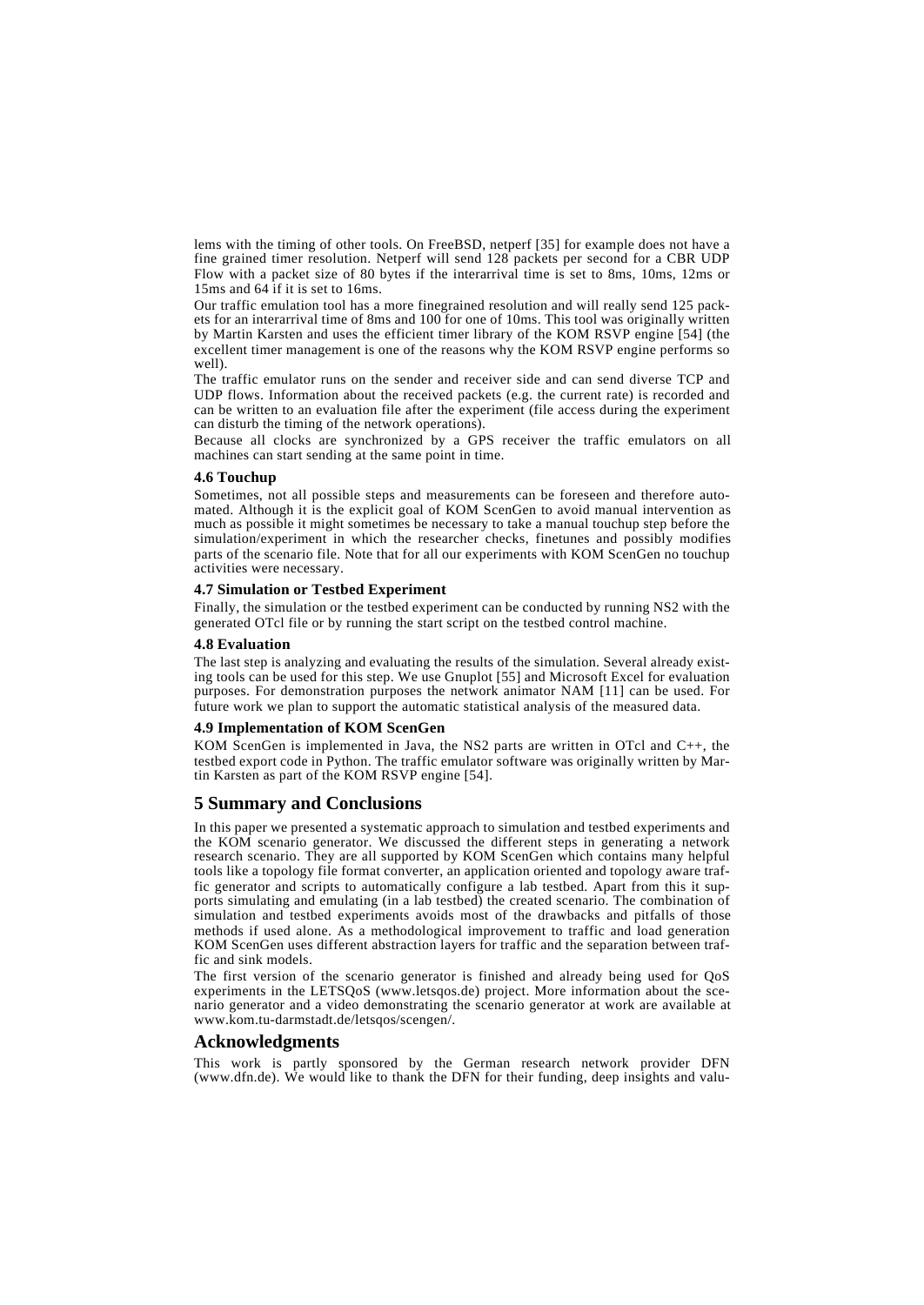lems with the timing of other tools. On FreeBSD, netperf [35] for example does not have a fine grained timer resolution. Netperf will send 128 packets per second for a CBR UDP Flow with a packet size of 80 bytes if the interarrival time is set to 8ms, 10ms, 12ms or 15ms and 64 if it is set to 16ms.

Our traffic emulation tool has a more finegrained resolution and will really send 125 packets for an interarrival time of 8ms and 100 for one of 10ms. This tool was originally written by Martin Karsten and uses the efficient timer library of the KOM RSVP engine [54] (the excellent timer management is one of the reasons why the KOM RSVP engine performs so well).

The traffic emulator runs on the sender and receiver side and can send diverse TCP and UDP flows. Information about the received packets (e.g. the current rate) is recorded and can be written to an evaluation file after the experiment (file access during the experiment can disturb the timing of the network operations).

Because all clocks are synchronized by a GPS receiver the traffic emulators on all machines can start sending at the same point in time.

#### **4.6 Touchup**

Sometimes, not all possible steps and measurements can be foreseen and therefore automated. Although it is the explicit goal of KOM ScenGen to avoid manual intervention as much as possible it might sometimes be necessary to take a manual touchup step before the simulation/experiment in which the researcher checks, finetunes and possibly modifies parts of the scenario file. Note that for all our experiments with KOM ScenGen no touchup activities were necessary.

#### **4.7 Simulation or Testbed Experiment**

Finally, the simulation or the testbed experiment can be conducted by running NS2 with the generated OTcl file or by running the start script on the testbed control machine.

#### **4.8 Evaluation**

The last step is analyzing and evaluating the results of the simulation. Several already existing tools can be used for this step. We use Gnuplot [55] and Microsoft Excel for evaluation purposes. For demonstration purposes the network animator NAM [11] can be used. For future work we plan to support the automatic statistical analysis of the measured data.

# **4.9 Implementation of KOM ScenGen**

KOM ScenGen is implemented in Java, the NS2 parts are written in OTcl and C++, the testbed export code in Python. The traffic emulator software was originally written by Martin Karsten as part of the KOM RSVP engine [54].

## **5 Summary and Conclusions**

In this paper we presented a systematic approach to simulation and testbed experiments and the KOM scenario generator. We discussed the different steps in generating a network research scenario. They are all supported by KOM ScenGen which contains many helpful tools like a topology file format converter, an application oriented and topology aware traffic generator and scripts to automatically configure a lab testbed. Apart from this it supports simulating and emulating (in a lab testbed) the created scenario. The combination of simulation and testbed experiments avoids most of the drawbacks and pitfalls of those methods if used alone. As a methodological improvement to traffic and load generation KOM ScenGen uses different abstraction layers for traffic and the separation between traffic and sink models.

The first version of the scenario generator is finished and already being used for QoS experiments in the LETSQoS (www.letsqos.de) project. More information about the scenario generator and a video demonstrating the scenario generator at work are available at www.kom.tu-darmstadt.de/letsqos/scengen/.

## **Acknowledgments**

This work is partly sponsored by the German research network provider DFN (www.dfn.de). We would like to thank the DFN for their funding, deep insights and valu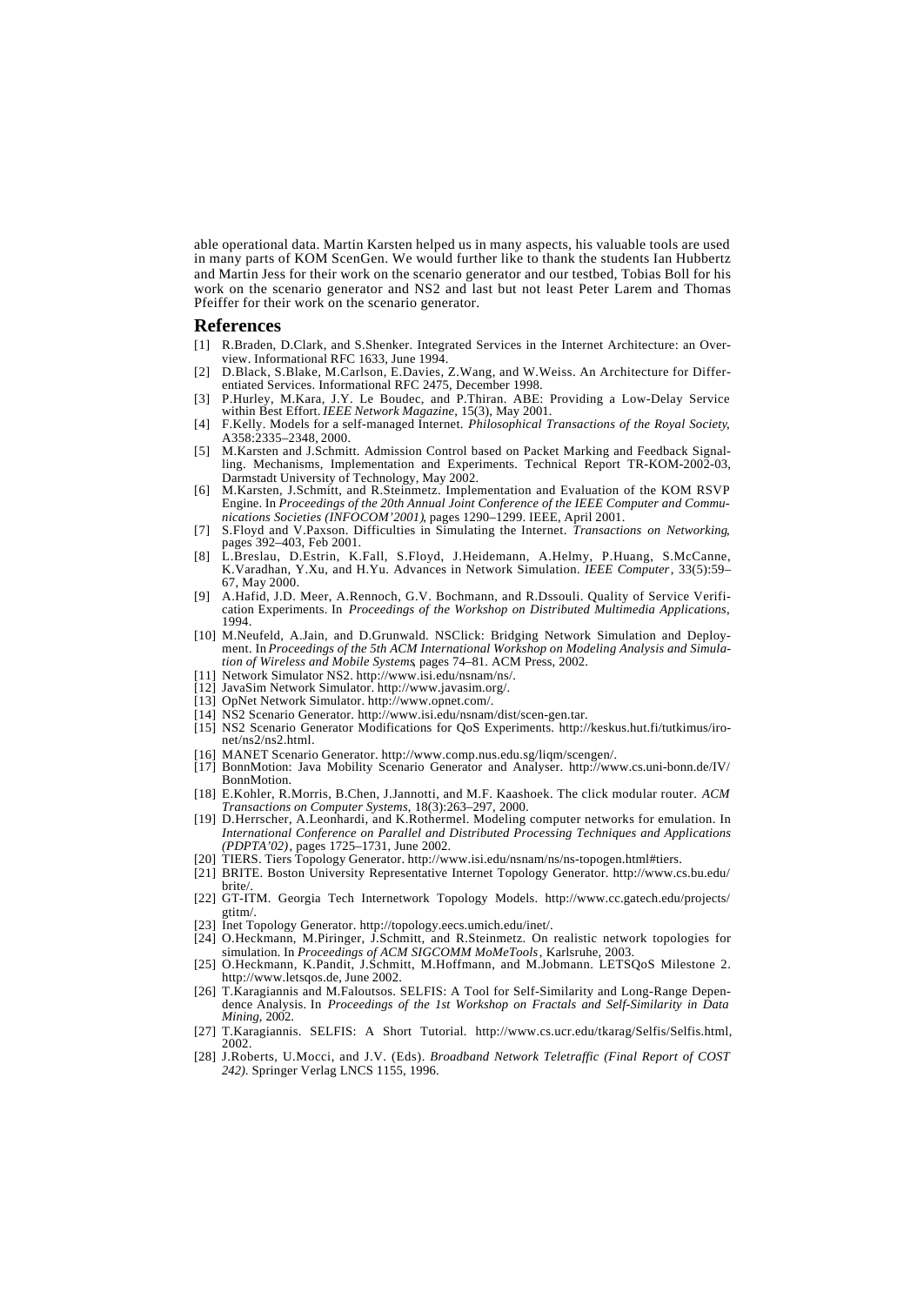able operational data. Martin Karsten helped us in many aspects, his valuable tools are used in many parts of KOM ScenGen. We would further like to thank the students Ian Hubbertz and Martin Jess for their work on the scenario generator and our testbed, Tobias Boll for his work on the scenario generator and NS2 and last but not least Peter Larem and Thomas Pfeiffer for their work on the scenario generator.

#### **References**

- [1] R.Braden, D.Clark, and S.Shenker. Integrated Services in the Internet Architecture: an Overview. Informational RFC 1633, June 1994.
- [2] D.Black, S.Blake, M.Carlson, E.Davies, Z.Wang, and W.Weiss. An Architecture for Differentiated Services. Informational RFC 2475, December 1998.
- P.Hurley, M.Kara, J.Y. Le Boudec, and P.Thiran. ABE: Providing a Low-Delay Service within Best Effort. *IEEE Network Magazine*, 15(3), May 2001.
- [4] F.Kelly. Models for a self-managed Internet. *Philosophical Transactions of the Royal Society*, A358:2335–2348, 2000.
- [5] M.Karsten and J.Schmitt. Admission Control based on Packet Marking and Feedback Signalling. Mechanisms, Implementation and Experiments. Technical Report TR-KOM-2002-03, Darmstadt University of Technology, May 2002.
- [6] M.Karsten, J.Schmitt, and R.Steinmetz. Implementation and Evaluation of the KOM RSVP Engine. In *Proceedings of the 20th Annual Joint Conference of the IEEE Computer and Communications Societies (INFOCOM'2001)*, pages 1290–1299. IEEE, April 2001.
- [7] S.Floyd and V.Paxson. Difficulties in Simulating the Internet. *Transactions on Networking*, pages 392–403, Feb 2001.
- [8] L.Breslau, D.Estrin, K.Fall, S.Floyd, J.Heidemann, A.Helmy, P.Huang, S.McCanne, K.Varadhan, Y.Xu, and H.Yu. Advances in Network Simulation. *IEEE Computer*, 33(5):59– 67, May 2000.
- [9] A.Hafid, J.D. Meer, A.Rennoch, G.V. Bochmann, and R.Dssouli. Quality of Service Verification Experiments. In *Proceedings of the Workshop on Distributed Multimedia Applications*, 1994.
- [10] M.Neufeld, A.Jain, and D.Grunwald. NSClick: Bridging Network Simulation and Deployment. In *Proceedings of the 5th ACM International Workshop on Modeling Analysis and Simulation of Wireless and Mobile Systems*, pages 74–81. ACM Press, 2002.
- [11] Network Simulator NS2. http://www.isi.edu/nsnam/ns/.
- [12] JavaSim Network Simulator. http://www.javasim.org/.
- [13] OpNet Network Simulator. http://www.opnet.com/.
- [14] NS2 Scenario Generator. http://www.isi.edu/nsnam/dist/scen-gen.tar.
- [15] NS2 Scenario Generator Modifications for QoS Experiments. http://keskus.hut.fi/tutkimus/ironet/ns2/ns2.html.
- [16] MANET Scenario Generator. http://www.comp.nus.edu.sg/liqm/scengen/.
- [17] BonnMotion: Java Mobility Scenario Generator and Analyser. http://www.cs.uni-bonn.de/IV/ BonnMotion.
- [18] E.Kohler, R.Morris, B.Chen, J.Jannotti, and M.F. Kaashoek. The click modular router. *ACM Transactions on Computer Systems*, 18(3):263–297, 2000.
- [19] D.Herrscher, A.Leonhardi, and K.Rothermel. Modeling computer networks for emulation. In *International Conference on Parallel and Distributed Processing Techniques and Applications (PDPTA'02)*, pages 1725–1731, June 2002.
- [20] TIERS. Tiers Topology Generator. http://www.isi.edu/nsnam/ns/ns-topogen.html#tiers.
- [21] BRITE. Boston University Representative Internet Topology Generator. http://www.cs.bu.edu/ brite/
- [22] GT-ITM. Georgia Tech Internetwork Topology Models. http://www.cc.gatech.edu/projects/ gtitm/.
- [23] Inet Topology Generator. http://topology.eecs.umich.edu/inet/.
- [24] O.Heckmann, M.Piringer, J.Schmitt, and R.Steinmetz. On realistic network topologies for simulation. In *Proceedings of ACM SIGCOMM MoMeTools*, Karlsruhe, 2003.
- [25] O.Heckmann, K.Pandit, J.Schmitt, M.Hoffmann, and M.Jobmann. LETSQoS Milestone 2. http://www.letsqos.de, June 2002.
- [26] T.Karagiannis and M.Faloutsos. SELFIS: A Tool for Self-Similarity and Long-Range Dependence Analysis. In *Proceedings of the 1st Workshop on Fractals and Self-Similarity in Data Mining*, 2002.
- [27] T.Karagiannis. SELFIS: A Short Tutorial. http://www.cs.ucr.edu/tkarag/Selfis/Selfis.html, 2002.
- [28] J.Roberts, U.Mocci, and J.V. (Eds). *Broadband Network Teletraffic (Final Report of COST 242)*. Springer Verlag LNCS 1155, 1996.